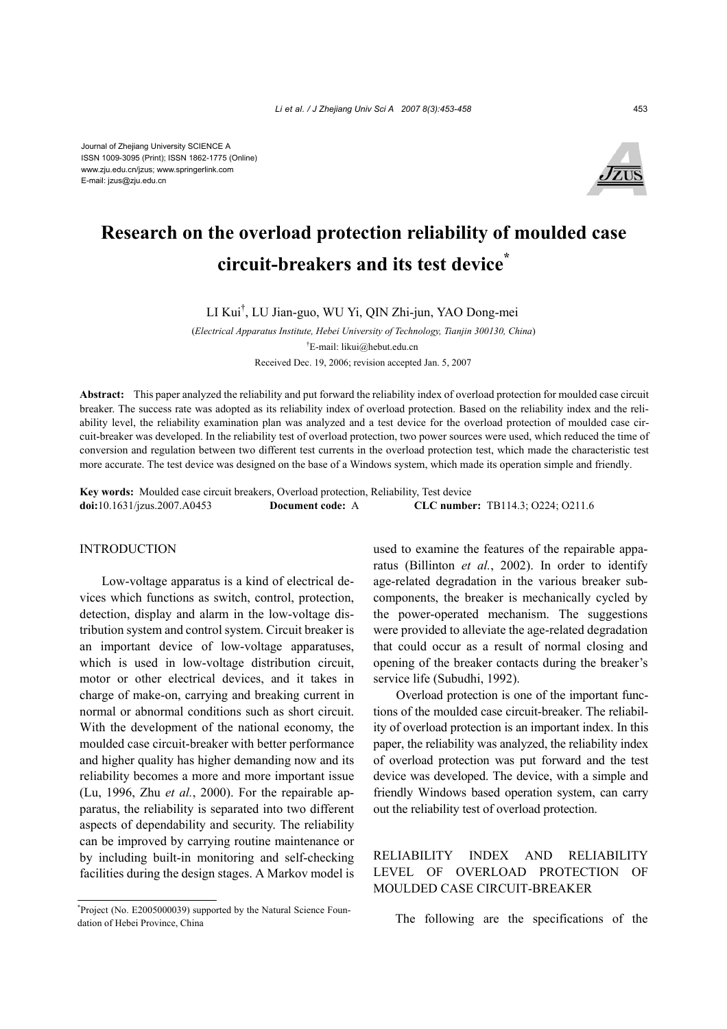

# **Research on the overload protection reliability of moulded case circuit-breakers and its test device\***

LI Kui† , LU Jian-guo, WU Yi, QIN Zhi-jun, YAO Dong-mei

(*Electrical Apparatus Institute, Hebei University of Technology, Tianjin 300130, China*) † E-mail: likui@hebut.edu.cn Received Dec. 19, 2006; revision accepted Jan. 5, 2007

**Abstract:** This paper analyzed the reliability and put forward the reliability index of overload protection for moulded case circuit breaker. The success rate was adopted as its reliability index of overload protection. Based on the reliability index and the reliability level, the reliability examination plan was analyzed and a test device for the overload protection of moulded case circuit-breaker was developed. In the reliability test of overload protection, two power sources were used, which reduced the time of conversion and regulation between two different test currents in the overload protection test, which made the characteristic test more accurate. The test device was designed on the base of a Windows system, which made its operation simple and friendly.

**Key words:** Moulded case circuit breakers, Overload protection, Reliability, Test device **doi:**10.1631/jzus.2007.A0453 **Document code:** A **CLC number:** TB114.3; O224; O211.6

#### INTRODUCTION

Low-voltage apparatus is a kind of electrical devices which functions as switch, control, protection, detection, display and alarm in the low-voltage distribution system and control system. Circuit breaker is an important device of low-voltage apparatuses, which is used in low-voltage distribution circuit, motor or other electrical devices, and it takes in charge of make-on, carrying and breaking current in normal or abnormal conditions such as short circuit. With the development of the national economy, the moulded case circuit-breaker with better performance and higher quality has higher demanding now and its reliability becomes a more and more important issue (Lu, 1996, Zhu *et al.*, 2000). For the repairable apparatus, the reliability is separated into two different aspects of dependability and security. The reliability can be improved by carrying routine maintenance or by including built-in monitoring and self-checking facilities during the design stages. A Markov model is used to examine the features of the repairable apparatus (Billinton *et al.*, 2002). In order to identify age-related degradation in the various breaker subcomponents, the breaker is mechanically cycled by the power-operated mechanism. The suggestions were provided to alleviate the age-related degradation that could occur as a result of normal closing and opening of the breaker contacts during the breaker's service life (Subudhi, 1992).

Overload protection is one of the important functions of the moulded case circuit-breaker. The reliability of overload protection is an important index. In this paper, the reliability was analyzed, the reliability index of overload protection was put forward and the test device was developed. The device, with a simple and friendly Windows based operation system, can carry out the reliability test of overload protection.

# RELIABILITY INDEX AND RELIABILITY LEVEL OF OVERLOAD PROTECTION OF MOULDED CASE CIRCUIT-BREAKER

The following are the specifications of the

<sup>\*</sup> Project (No. E2005000039) supported by the Natural Science Foundation of Hebei Province, China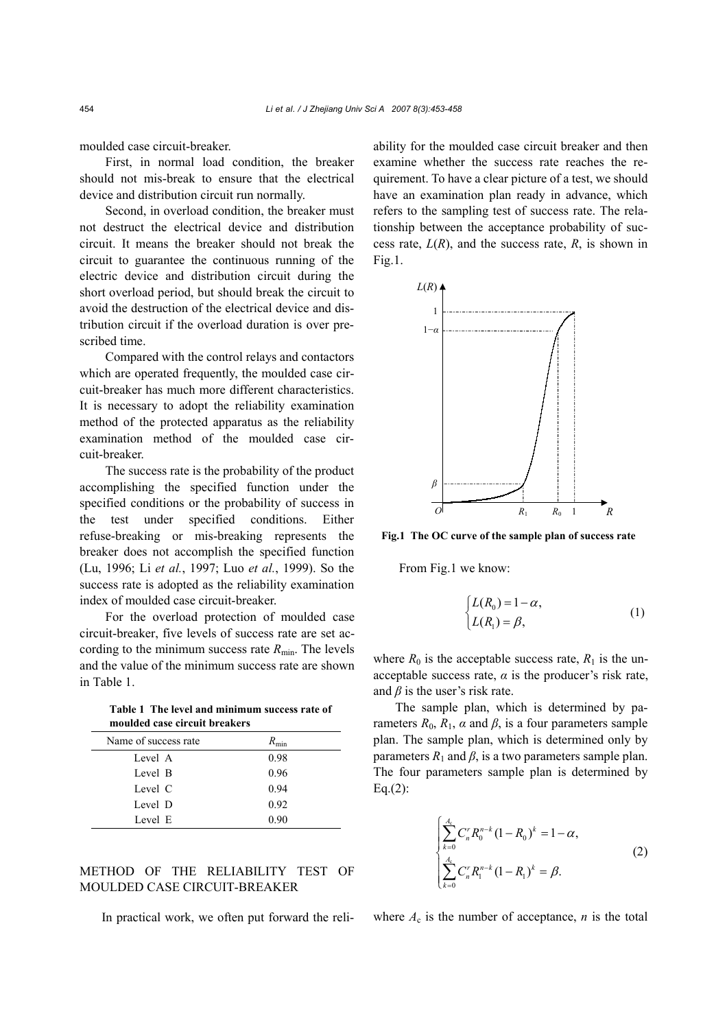moulded case circuit-breaker.

First, in normal load condition, the breaker should not mis-break to ensure that the electrical device and distribution circuit run normally.

Second, in overload condition, the breaker must not destruct the electrical device and distribution circuit. It means the breaker should not break the circuit to guarantee the continuous running of the electric device and distribution circuit during the short overload period, but should break the circuit to avoid the destruction of the electrical device and distribution circuit if the overload duration is over prescribed time.

Compared with the control relays and contactors which are operated frequently, the moulded case circuit-breaker has much more different characteristics. It is necessary to adopt the reliability examination method of the protected apparatus as the reliability examination method of the moulded case circuit-breaker.

The success rate is the probability of the product accomplishing the specified function under the specified conditions or the probability of success in the test under specified conditions. Either refuse-breaking or mis-breaking represents the breaker does not accomplish the specified function (Lu, 1996; Li *et al.*, 1997; Luo *et al.*, 1999). So the success rate is adopted as the reliability examination index of moulded case circuit-breaker.

For the overload protection of moulded case circuit-breaker, five levels of success rate are set according to the minimum success rate  $R_{\text{min}}$ . The levels and the value of the minimum success rate are shown in Table 1.

**Table 1 The level and minimum success rate of moulded case circuit breakers** 

| Name of success rate | $R_{\min}$ |
|----------------------|------------|
| Level A              | 0.98       |
| Level B              | 0.96       |
| Level C              | 0.94       |
| Level D              | 0.92       |
| Level E              | 0.90       |

## METHOD OF THE RELIABILITY TEST OF MOULDED CASE CIRCUIT-BREAKER

In practical work, we often put forward the reli-

ability for the moulded case circuit breaker and then examine whether the success rate reaches the requirement. To have a clear picture of a test, we should have an examination plan ready in advance, which refers to the sampling test of success rate. The relationship between the acceptance probability of success rate,  $L(R)$ , and the success rate, R, is shown in Fig.1.



**Fig.1 The OC curve of the sample plan of success rate**

From Fig.1 we know:

$$
\begin{cases}\nL(R_0) = 1 - \alpha, \\
L(R_1) = \beta,\n\end{cases} \tag{1}
$$

where  $R_0$  is the acceptable success rate,  $R_1$  is the unacceptable success rate,  $\alpha$  is the producer's risk rate, and *β* is the user's risk rate.

The sample plan, which is determined by parameters  $R_0$ ,  $R_1$ ,  $\alpha$  and  $\beta$ , is a four parameters sample plan. The sample plan, which is determined only by parameters  $R_1$  and  $\beta$ , is a two parameters sample plan. The four parameters sample plan is determined by  $Eq.(2):$ 

$$
\begin{cases} \sum_{k=0}^{4} C_n^r R_0^{n-k} (1 - R_0)^k = 1 - \alpha, \\ \sum_{k=0}^{4} C_n^r R_1^{n-k} (1 - R_1)^k = \beta. \end{cases}
$$
 (2)

where  $A_c$  is the number of acceptance, *n* is the total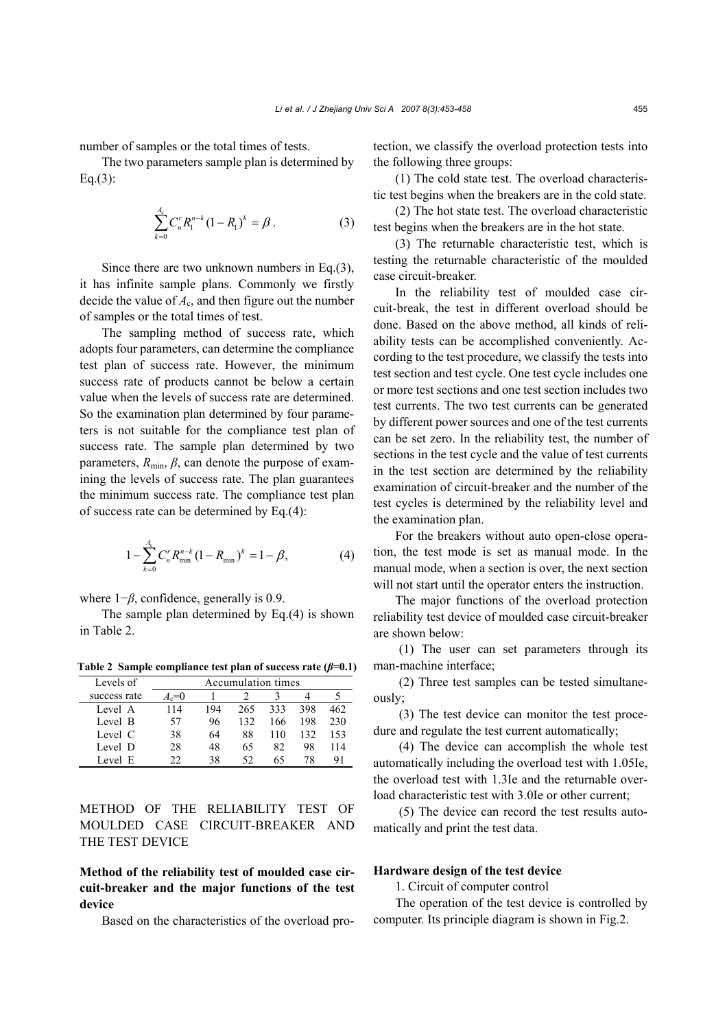number of samples or the total times of tests.

The two parameters sample plan is determined by Eq.(3):

$$
\sum_{k=0}^{A_{\rm c}} C_n^r R_1^{n-k} (1 - R_1)^k = \beta \,. \tag{3}
$$

Since there are two unknown numbers in Eq.(3), it has infinite sample plans. Commonly we firstly decide the value of  $A_c$ , and then figure out the number of samples or the total times of test.

The sampling method of success rate, which adopts four parameters, can determine the compliance test plan of success rate. However, the minimum success rate of products cannot be below a certain value when the levels of success rate are determined. So the examination plan determined by four parameters is not suitable for the compliance test plan of success rate. The sample plan determined by two parameters,  $R_{\text{min}}$ ,  $\beta$ , can denote the purpose of examining the levels of success rate. The plan guarantees the minimum success rate. The compliance test plan of success rate can be determined by Eq.(4):

$$
1 - \sum_{k=0}^{A_c} C_n^r R_{\min}^{n-k} (1 - R_{\min})^k = 1 - \beta, \tag{4}
$$

where 1−*β*, confidence, generally is 0.9.

The sample plan determined by Eq.(4) is shown in Table 2.

**Table 2 Sample compliance test plan of success rate (***β***=0.1)**

| Levels of    | Accumulation times |     |     |     |      |     |  |
|--------------|--------------------|-----|-----|-----|------|-----|--|
| success rate | $A_c=0$            |     |     |     |      |     |  |
| Level A      | 114                | 194 | 265 | 333 | 398  | 462 |  |
| Level B      | 57                 | 96  | 132 | 166 | 198  | 230 |  |
| Level C      | 38                 | 64  | 88  | 110 | 132. | 153 |  |
| Level D      | 28                 | 48  | 65  | 82  | 98   | 114 |  |
| Level E      | つつ                 | 38  | 52  | 65  | 78   | 91  |  |

METHOD OF THE RELIABILITY TEST OF MOULDED CASE CIRCUIT-BREAKER AND THE TEST DEVICE

## **Method of the reliability test of moulded case circuit-breaker and the major functions of the test device**

Based on the characteristics of the overload pro-

tection, we classify the overload protection tests into the following three groups:

(1) The cold state test. The overload characteristic test begins when the breakers are in the cold state.

(2) The hot state test. The overload characteristic test begins when the breakers are in the hot state.

(3) The returnable characteristic test, which is testing the returnable characteristic of the moulded case circuit-breaker.

In the reliability test of moulded case circuit-break, the test in different overload should be done. Based on the above method, all kinds of reliability tests can be accomplished conveniently. According to the test procedure, we classify the tests into test section and test cycle. One test cycle includes one or more test sections and one test section includes two test currents. The two test currents can be generated by different power sources and one of the test currents can be set zero. In the reliability test, the number of sections in the test cycle and the value of test currents in the test section are determined by the reliability examination of circuit-breaker and the number of the test cycles is determined by the reliability level and the examination plan.

For the breakers without auto open-close operation, the test mode is set as manual mode. In the manual mode, when a section is over, the next section will not start until the operator enters the instruction.

The major functions of the overload protection reliability test device of moulded case circuit-breaker are shown below:

(1) The user can set parameters through its man-machine interface;

(2) Three test samples can be tested simultaneously;

(3) The test device can monitor the test procedure and regulate the test current automatically;

(4) The device can accomplish the whole test automatically including the overload test with 1.05Ie, the overload test with 1.3Ie and the returnable overload characteristic test with 3.0Ie or other current;

(5) The device can record the test results automatically and print the test data.

#### **Hardware design of the test device**

1. Circuit of computer control

The operation of the test device is controlled by computer. Its principle diagram is shown in Fig.2.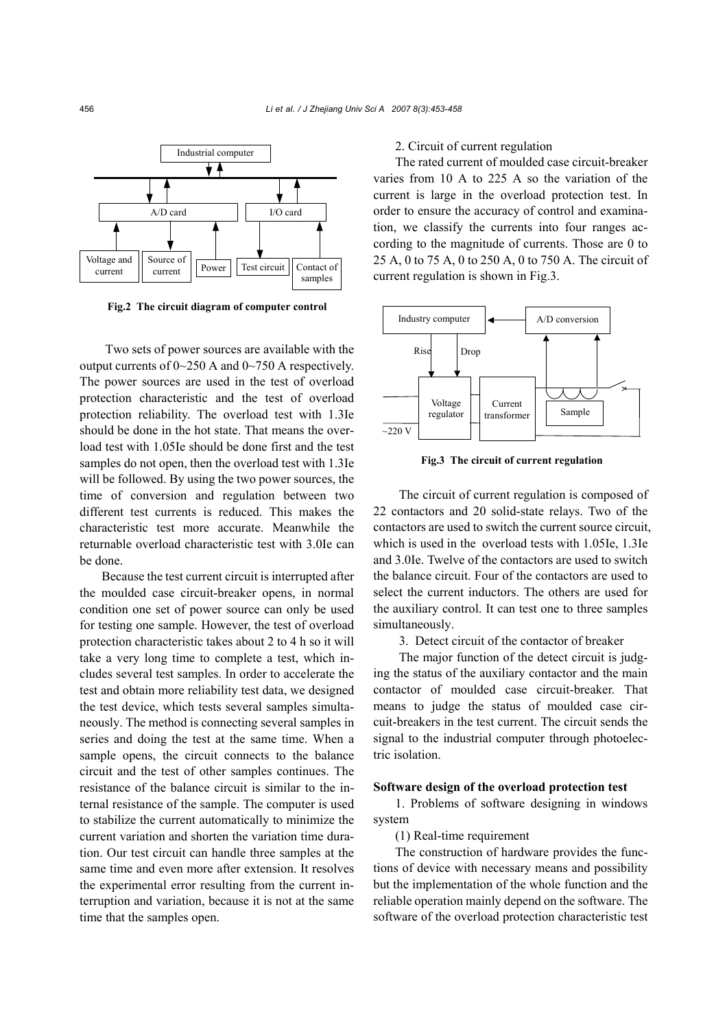

**Fig.2 The circuit diagram of computer control**

Two sets of power sources are available with the output currents of 0~250 A and 0~750 A respectively. The power sources are used in the test of overload protection characteristic and the test of overload protection reliability. The overload test with 1.3Ie should be done in the hot state. That means the overload test with 1.05Ie should be done first and the test samples do not open, then the overload test with 1.3Ie will be followed. By using the two power sources, the time of conversion and regulation between two different test currents is reduced. This makes the characteristic test more accurate. Meanwhile the returnable overload characteristic test with 3.0Ie can be done.

Because the test current circuit is interrupted after the moulded case circuit-breaker opens, in normal condition one set of power source can only be used for testing one sample. However, the test of overload protection characteristic takes about 2 to 4 h so it will take a very long time to complete a test, which includes several test samples. In order to accelerate the test and obtain more reliability test data, we designed the test device, which tests several samples simultaneously. The method is connecting several samples in series and doing the test at the same time. When a sample opens, the circuit connects to the balance circuit and the test of other samples continues. The resistance of the balance circuit is similar to the internal resistance of the sample. The computer is used to stabilize the current automatically to minimize the current variation and shorten the variation time duration. Our test circuit can handle three samples at the same time and even more after extension. It resolves the experimental error resulting from the current interruption and variation, because it is not at the same time that the samples open.

2. Circuit of current regulation

The rated current of moulded case circuit-breaker varies from 10 A to 225 A so the variation of the current is large in the overload protection test. In order to ensure the accuracy of control and examination, we classify the currents into four ranges according to the magnitude of currents. Those are 0 to 25 A, 0 to 75 A, 0 to 250 A, 0 to 750 A. The circuit of current regulation is shown in Fig.3.



**Fig.3 The circuit of current regulation**

The circuit of current regulation is composed of 22 contactors and 20 solid-state relays. Two of the contactors are used to switch the current source circuit, which is used in the overload tests with 1.05Ie, 1.3Ie and 3.0Ie. Twelve of the contactors are used to switch the balance circuit. Four of the contactors are used to select the current inductors. The others are used for the auxiliary control. It can test one to three samples simultaneously.

3. Detect circuit of the contactor of breaker

The major function of the detect circuit is judging the status of the auxiliary contactor and the main contactor of moulded case circuit-breaker. That means to judge the status of moulded case circuit-breakers in the test current. The circuit sends the signal to the industrial computer through photoelectric isolation.

#### **Software design of the overload protection test**

1. Problems of software designing in windows system

(1) Real-time requirement

The construction of hardware provides the functions of device with necessary means and possibility but the implementation of the whole function and the reliable operation mainly depend on the software. The software of the overload protection characteristic test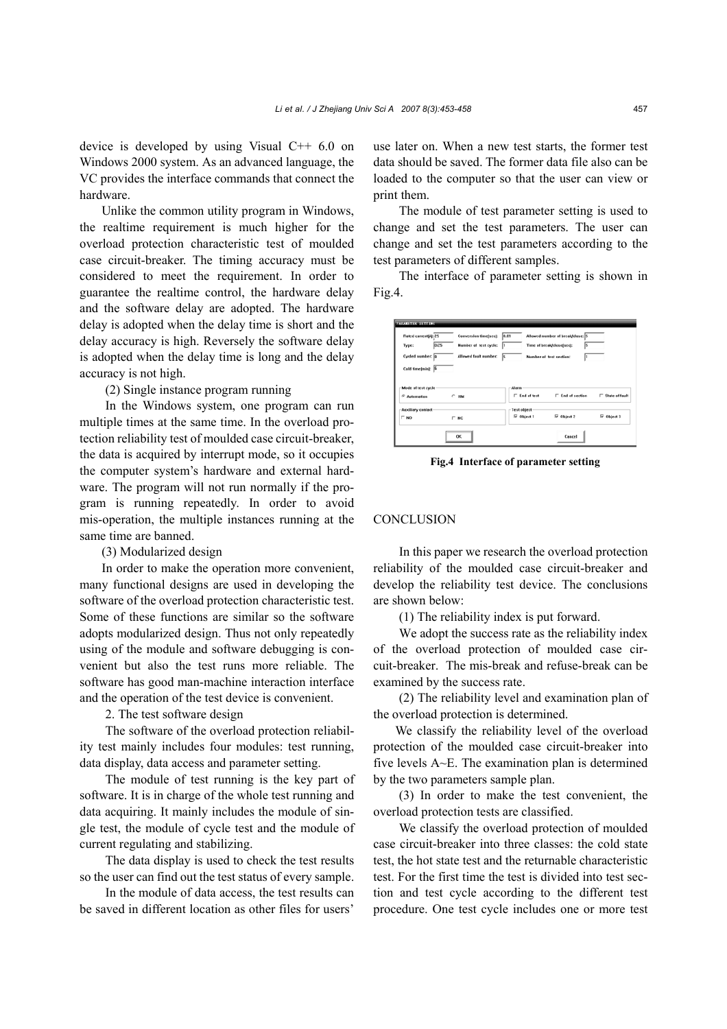device is developed by using Visual C++ 6.0 on Windows 2000 system. As an advanced language, the VC provides the interface commands that connect the hardware.

Unlike the common utility program in Windows, the realtime requirement is much higher for the overload protection characteristic test of moulded case circuit-breaker. The timing accuracy must be considered to meet the requirement. In order to guarantee the realtime control, the hardware delay and the software delay are adopted. The hardware delay is adopted when the delay time is short and the delay accuracy is high. Reversely the software delay is adopted when the delay time is long and the delay accuracy is not high.

(2) Single instance program running

In the Windows system, one program can run multiple times at the same time. In the overload protection reliability test of moulded case circuit-breaker, the data is acquired by interrupt mode, so it occupies the computer system's hardware and external hardware. The program will not run normally if the program is running repeatedly. In order to avoid mis-operation, the multiple instances running at the same time are banned.

(3) Modularized design

In order to make the operation more convenient, many functional designs are used in developing the software of the overload protection characteristic test. Some of these functions are similar so the software adopts modularized design. Thus not only repeatedly using of the module and software debugging is convenient but also the test runs more reliable. The software has good man-machine interaction interface and the operation of the test device is convenient.

2. The test software design

The software of the overload protection reliability test mainly includes four modules: test running, data display, data access and parameter setting.

The module of test running is the key part of software. It is in charge of the whole test running and data acquiring. It mainly includes the module of single test, the module of cycle test and the module of current regulating and stabilizing.

The data display is used to check the test results so the user can find out the test status of every sample.

In the module of data access, the test results can be saved in different location as other files for users'

use later on. When a new test starts, the former test data should be saved. The former data file also can be loaded to the computer so that the user can view or print them.

The module of test parameter setting is used to change and set the test parameters. The user can change and set the test parameters according to the test parameters of different samples.

The interface of parameter setting is shown in Fig.4.

| <b>BEARING CONTRACT</b>            |                              |                               |                                  |                     |
|------------------------------------|------------------------------|-------------------------------|----------------------------------|---------------------|
| Rated current(A): 25               | <b>Conversion time(sec):</b> | 0.01                          | Allowed number of break/close: 5 |                     |
| DZS<br>Type:                       | Number of test cycle:        | п                             | Time of break/close(sec):<br>1s  |                     |
| Cycled number: 0                   | Allowed fault number:        | к                             | Number of test section:<br>h     |                     |
| Cold time[min]: 6                  |                              |                               |                                  |                     |
| Mode of test cycle<br>G Automation | $C$ HM                       | <b>Alarm</b><br>F End of test | $\Gamma$ End of section          | е<br>State of fault |
| Auxiliary contact                  |                              | <b>Test object</b>            |                                  |                     |
| $\Gamma$ NO                        | $\sqsubset$ NC               | P Object 1                    | $\nabla$ Object 2                | $\nabla$ Object 3   |
|                                    | 0K                           |                               | Cancel                           |                     |

**Fig.4 Interface of parameter setting**

### **CONCLUSION**

In this paper we research the overload protection reliability of the moulded case circuit-breaker and develop the reliability test device. The conclusions are shown below:

(1) The reliability index is put forward.

We adopt the success rate as the reliability index of the overload protection of moulded case circuit-breaker. The mis-break and refuse-break can be examined by the success rate.

(2) The reliability level and examination plan of the overload protection is determined.

We classify the reliability level of the overload protection of the moulded case circuit-breaker into five levels A~E. The examination plan is determined by the two parameters sample plan.

(3) In order to make the test convenient, the overload protection tests are classified.

We classify the overload protection of moulded case circuit-breaker into three classes: the cold state test, the hot state test and the returnable characteristic test. For the first time the test is divided into test section and test cycle according to the different test procedure. One test cycle includes one or more test